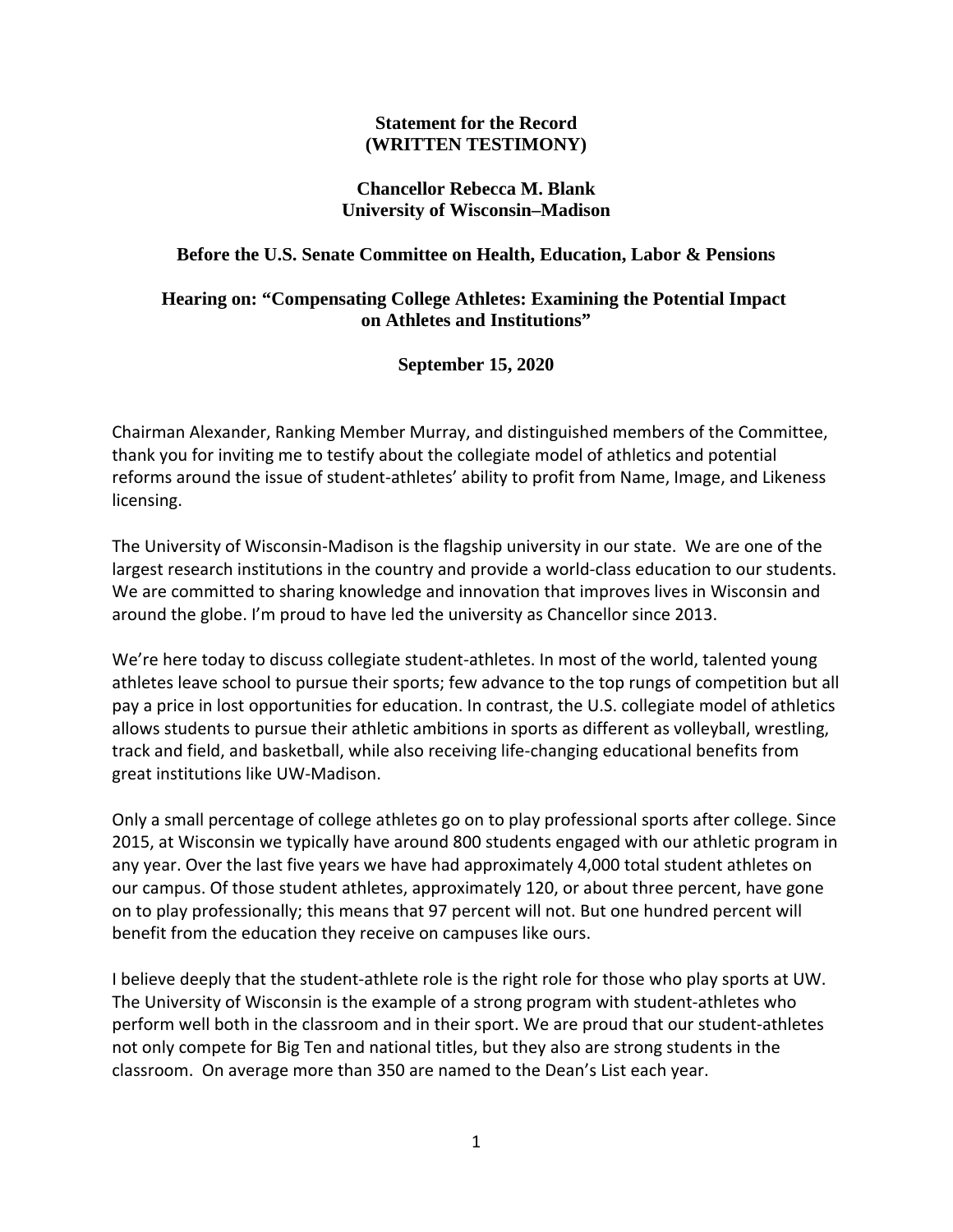#### **Statement for the Record (WRITTEN TESTIMONY)**

### **Chancellor Rebecca M. Blank University of Wisconsin–Madison**

## **Before the U.S. Senate Committee on Health, Education, Labor & Pensions**

# **Hearing on: "Compensating College Athletes: Examining the Potential Impact on Athletes and Institutions"**

### **September 15, 2020**

Chairman Alexander, Ranking Member Murray, and distinguished members of the Committee, thank you for inviting me to testify about the collegiate model of athletics and potential reforms around the issue of student‐athletes' ability to profit from Name, Image, and Likeness licensing.

The University of Wisconsin‐Madison is the flagship university in our state. We are one of the largest research institutions in the country and provide a world‐class education to our students. We are committed to sharing knowledge and innovation that improves lives in Wisconsin and around the globe. I'm proud to have led the university as Chancellor since 2013.

We're here today to discuss collegiate student-athletes. In most of the world, talented young athletes leave school to pursue their sports; few advance to the top rungs of competition but all pay a price in lost opportunities for education. In contrast, the U.S. collegiate model of athletics allows students to pursue their athletic ambitions in sports as different as volleyball, wrestling, track and field, and basketball, while also receiving life‐changing educational benefits from great institutions like UW‐Madison.

Only a small percentage of college athletes go on to play professional sports after college. Since 2015, at Wisconsin we typically have around 800 students engaged with our athletic program in any year. Over the last five years we have had approximately 4,000 total student athletes on our campus. Of those student athletes, approximately 120, or about three percent, have gone on to play professionally; this means that 97 percent will not. But one hundred percent will benefit from the education they receive on campuses like ours.

I believe deeply that the student‐athlete role is the right role for those who play sports at UW. The University of Wisconsin is the example of a strong program with student‐athletes who perform well both in the classroom and in their sport. We are proud that our student‐athletes not only compete for Big Ten and national titles, but they also are strong students in the classroom. On average more than 350 are named to the Dean's List each year.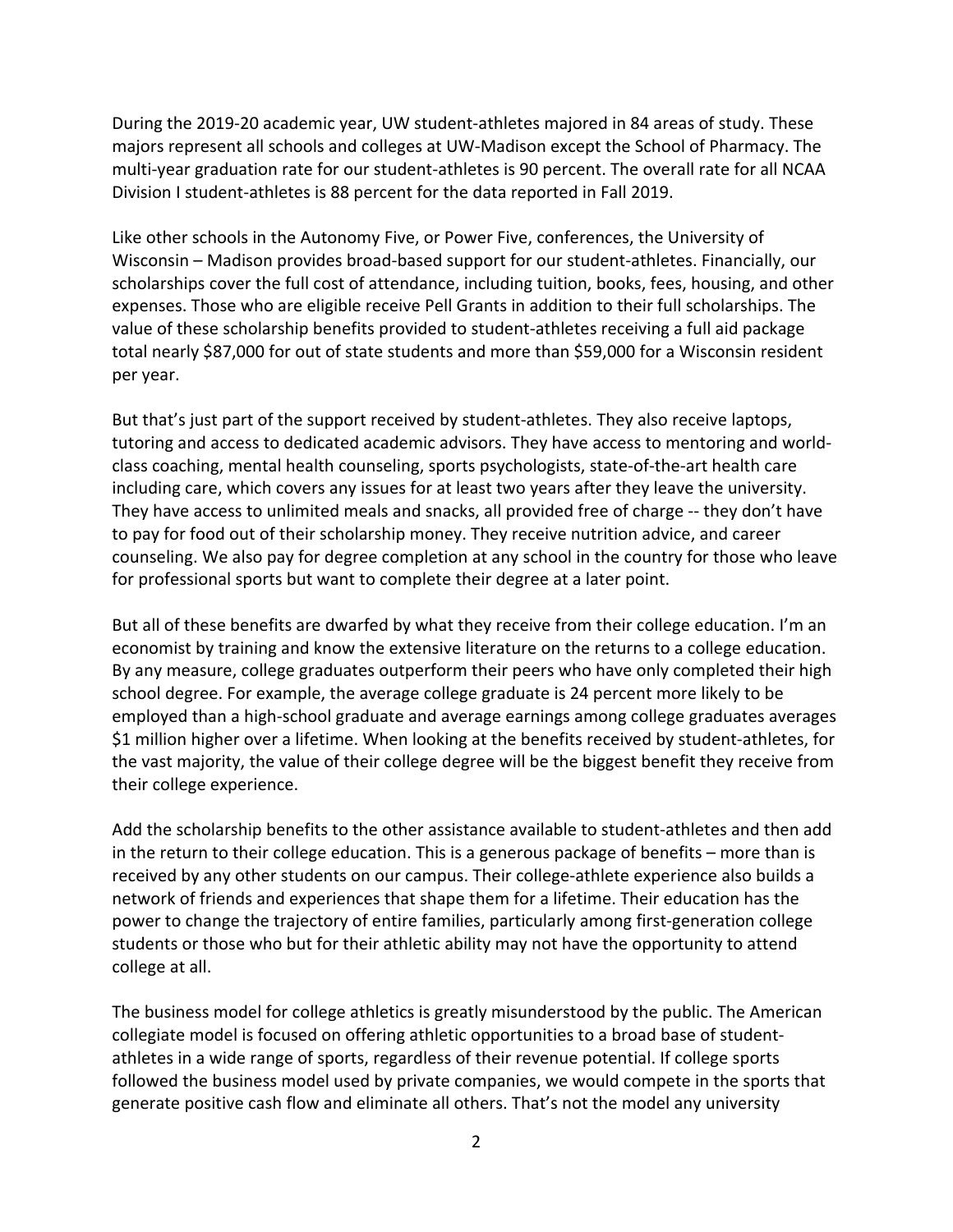During the 2019‐20 academic year, UW student‐athletes majored in 84 areas of study. These majors represent all schools and colleges at UW‐Madison except the School of Pharmacy. The multi‐year graduation rate for our student‐athletes is 90 percent. The overall rate for all NCAA Division I student‐athletes is 88 percent for the data reported in Fall 2019.

Like other schools in the Autonomy Five, or Power Five, conferences, the University of Wisconsin – Madison provides broad-based support for our student-athletes. Financially, our scholarships cover the full cost of attendance, including tuition, books, fees, housing, and other expenses. Those who are eligible receive Pell Grants in addition to their full scholarships. The value of these scholarship benefits provided to student‐athletes receiving a full aid package total nearly \$87,000 for out of state students and more than \$59,000 for a Wisconsin resident per year.

But that's just part of the support received by student‐athletes. They also receive laptops, tutoring and access to dedicated academic advisors. They have access to mentoring and world‐ class coaching, mental health counseling, sports psychologists, state‐of‐the‐art health care including care, which covers any issues for at least two years after they leave the university. They have access to unlimited meals and snacks, all provided free of charge ‐‐ they don't have to pay for food out of their scholarship money. They receive nutrition advice, and career counseling. We also pay for degree completion at any school in the country for those who leave for professional sports but want to complete their degree at a later point.

But all of these benefits are dwarfed by what they receive from their college education. I'm an economist by training and know the extensive literature on the returns to a college education. By any measure, college graduates outperform their peers who have only completed their high school degree. For example, the average college graduate is 24 percent more likely to be employed than a high‐school graduate and average earnings among college graduates averages \$1 million higher over a lifetime. When looking at the benefits received by student‐athletes, for the vast majority, the value of their college degree will be the biggest benefit they receive from their college experience.

Add the scholarship benefits to the other assistance available to student‐athletes and then add in the return to their college education. This is a generous package of benefits – more than is received by any other students on our campus. Their college‐athlete experience also builds a network of friends and experiences that shape them for a lifetime. Their education has the power to change the trajectory of entire families, particularly among first‐generation college students or those who but for their athletic ability may not have the opportunity to attend college at all.

The business model for college athletics is greatly misunderstood by the public. The American collegiate model is focused on offering athletic opportunities to a broad base of student‐ athletes in a wide range of sports, regardless of their revenue potential. If college sports followed the business model used by private companies, we would compete in the sports that generate positive cash flow and eliminate all others. That's not the model any university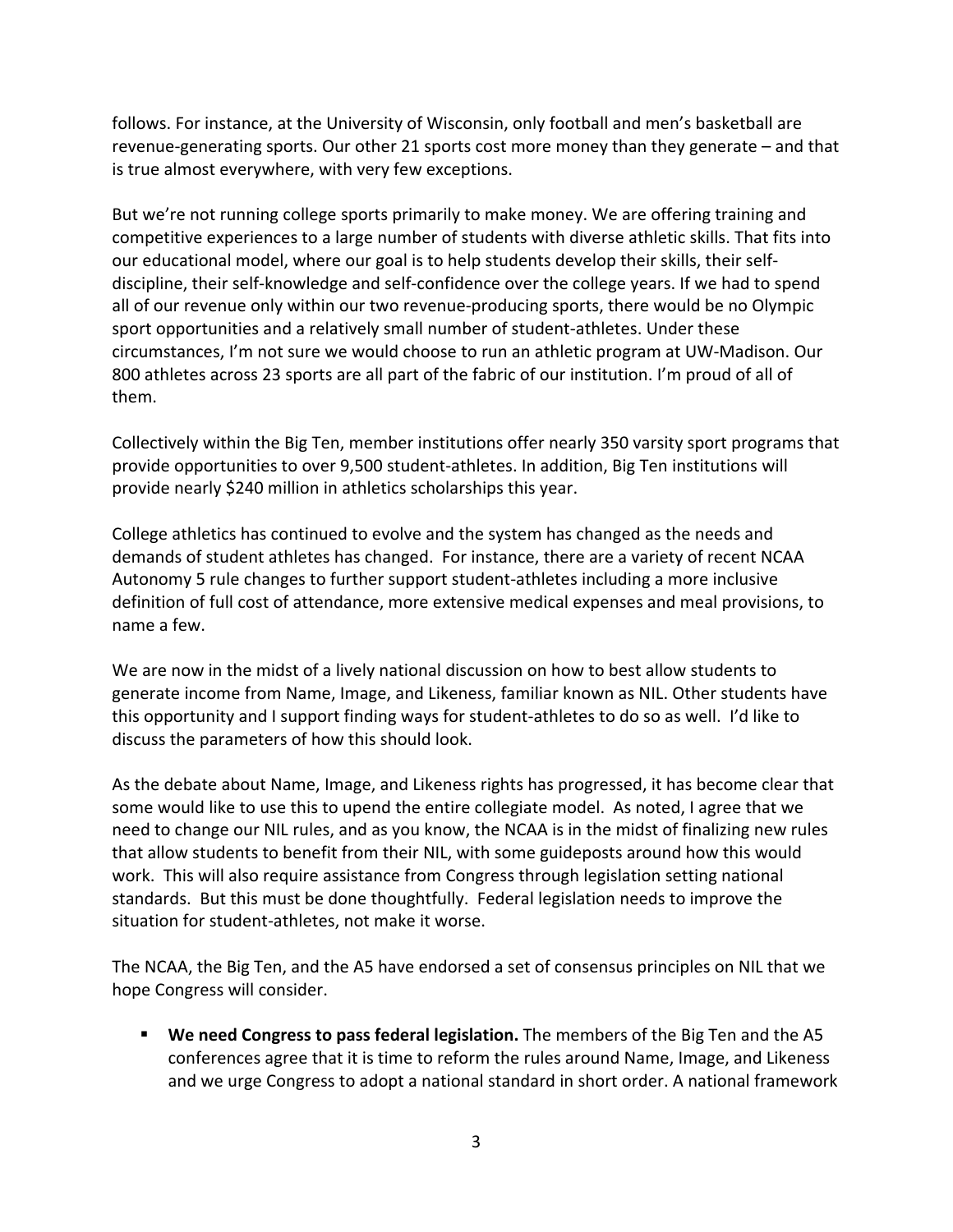follows. For instance, at the University of Wisconsin, only football and men's basketball are revenue‐generating sports. Our other 21 sports cost more money than they generate – and that is true almost everywhere, with very few exceptions.

But we're not running college sports primarily to make money. We are offering training and competitive experiences to a large number of students with diverse athletic skills. That fits into our educational model, where our goal is to help students develop their skills, their self‐ discipline, their self‐knowledge and self‐confidence over the college years. If we had to spend all of our revenue only within our two revenue‐producing sports, there would be no Olympic sport opportunities and a relatively small number of student‐athletes. Under these circumstances, I'm not sure we would choose to run an athletic program at UW‐Madison. Our 800 athletes across 23 sports are all part of the fabric of our institution. I'm proud of all of them.

Collectively within the Big Ten, member institutions offer nearly 350 varsity sport programs that provide opportunities to over 9,500 student‐athletes. In addition, Big Ten institutions will provide nearly \$240 million in athletics scholarships this year.

College athletics has continued to evolve and the system has changed as the needs and demands of student athletes has changed. For instance, there are a variety of recent NCAA Autonomy 5 rule changes to further support student‐athletes including a more inclusive definition of full cost of attendance, more extensive medical expenses and meal provisions, to name a few.

We are now in the midst of a lively national discussion on how to best allow students to generate income from Name, Image, and Likeness, familiar known as NIL. Other students have this opportunity and I support finding ways for student‐athletes to do so as well. I'd like to discuss the parameters of how this should look.

As the debate about Name, Image, and Likeness rights has progressed, it has become clear that some would like to use this to upend the entire collegiate model. As noted, I agree that we need to change our NIL rules, and as you know, the NCAA is in the midst of finalizing new rules that allow students to benefit from their NIL, with some guideposts around how this would work. This will also require assistance from Congress through legislation setting national standards. But this must be done thoughtfully. Federal legislation needs to improve the situation for student‐athletes, not make it worse.

The NCAA, the Big Ten, and the A5 have endorsed a set of consensus principles on NIL that we hope Congress will consider.

 **We need Congress to pass federal legislation.** The members of the Big Ten and the A5 conferences agree that it is time to reform the rules around Name, Image, and Likeness and we urge Congress to adopt a national standard in short order. A national framework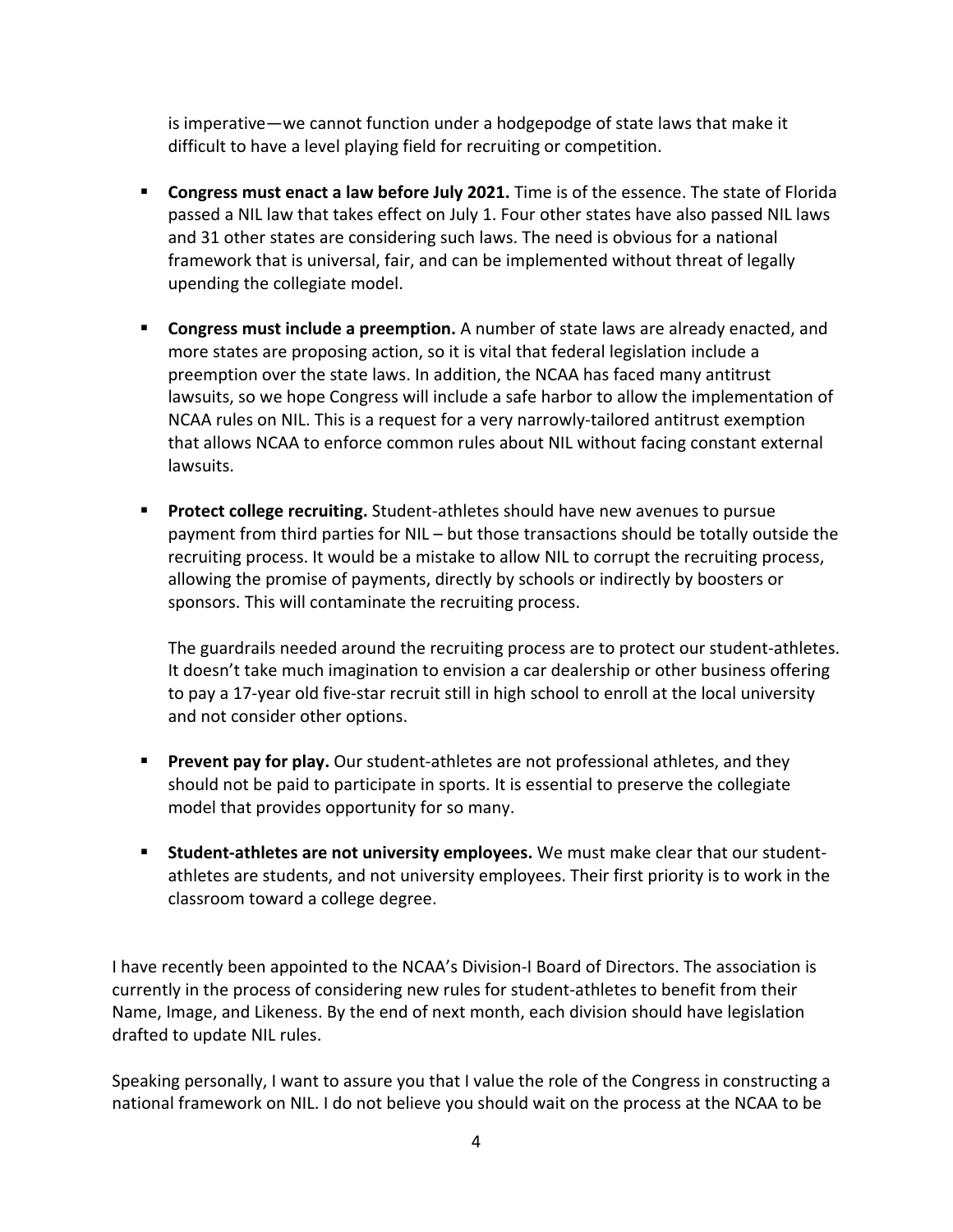is imperative—we cannot function under a hodgepodge of state laws that make it difficult to have a level playing field for recruiting or competition.

- **Congress must enact a law before July 2021.** Time is of the essence. The state of Florida passed a NIL law that takes effect on July 1. Four other states have also passed NIL laws and 31 other states are considering such laws. The need is obvious for a national framework that is universal, fair, and can be implemented without threat of legally upending the collegiate model.
- **Congress must include a preemption.** A number of state laws are already enacted, and more states are proposing action, so it is vital that federal legislation include a preemption over the state laws. In addition, the NCAA has faced many antitrust lawsuits, so we hope Congress will include a safe harbor to allow the implementation of NCAA rules on NIL. This is a request for a very narrowly‐tailored antitrust exemption that allows NCAA to enforce common rules about NIL without facing constant external lawsuits.
- Protect college recruiting. Student-athletes should have new avenues to pursue payment from third parties for NIL – but those transactions should be totally outside the recruiting process. It would be a mistake to allow NIL to corrupt the recruiting process, allowing the promise of payments, directly by schools or indirectly by boosters or sponsors. This will contaminate the recruiting process.

The guardrails needed around the recruiting process are to protect our student‐athletes. It doesn't take much imagination to envision a car dealership or other business offering to pay a 17‐year old five‐star recruit still in high school to enroll at the local university and not consider other options.

- **Prevent pay for play.** Our student-athletes are not professional athletes, and they should not be paid to participate in sports. It is essential to preserve the collegiate model that provides opportunity for so many.
- **Student‐athletes are not university employees.** We must make clear that our student‐ athletes are students, and not university employees. Their first priority is to work in the classroom toward a college degree.

I have recently been appointed to the NCAA's Division-I Board of Directors. The association is currently in the process of considering new rules for student‐athletes to benefit from their Name, Image, and Likeness. By the end of next month, each division should have legislation drafted to update NIL rules.

Speaking personally, I want to assure you that I value the role of the Congress in constructing a national framework on NIL. I do not believe you should wait on the process at the NCAA to be